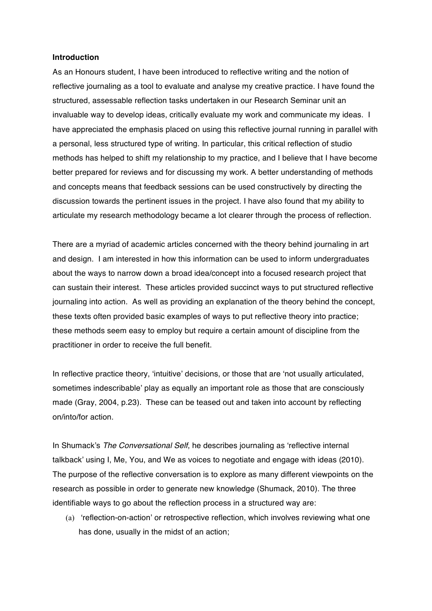## **Introduction**

As an Honours student, I have been introduced to reflective writing and the notion of reflective journaling as a tool to evaluate and analyse my creative practice. I have found the structured, assessable reflection tasks undertaken in our Research Seminar unit an invaluable way to develop ideas, critically evaluate my work and communicate my ideas. I have appreciated the emphasis placed on using this reflective journal running in parallel with a personal, less structured type of writing. In particular, this critical reflection of studio methods has helped to shift my relationship to my practice, and I believe that I have become better prepared for reviews and for discussing my work. A better understanding of methods and concepts means that feedback sessions can be used constructively by directing the discussion towards the pertinent issues in the project. I have also found that my ability to articulate my research methodology became a lot clearer through the process of reflection.

There are a myriad of academic articles concerned with the theory behind journaling in art and design. I am interested in how this information can be used to inform undergraduates about the ways to narrow down a broad idea/concept into a focused research project that can sustain their interest. These articles provided succinct ways to put structured reflective journaling into action. As well as providing an explanation of the theory behind the concept, these texts often provided basic examples of ways to put reflective theory into practice; these methods seem easy to employ but require a certain amount of discipline from the practitioner in order to receive the full benefit.

In reflective practice theory, 'intuitive' decisions, or those that are 'not usually articulated, sometimes indescribable' play as equally an important role as those that are consciously made (Gray, 2004, p.23). These can be teased out and taken into account by reflecting on/into/for action.

In Shumack's *The Conversational Self*, he describes journaling as 'reflective internal talkback' using I, Me, You, and We as voices to negotiate and engage with ideas (2010). The purpose of the reflective conversation is to explore as many different viewpoints on the research as possible in order to generate new knowledge (Shumack, 2010). The three identifiable ways to go about the reflection process in a structured way are:

(a) 'reflection-on-action' or retrospective reflection, which involves reviewing what one has done, usually in the midst of an action;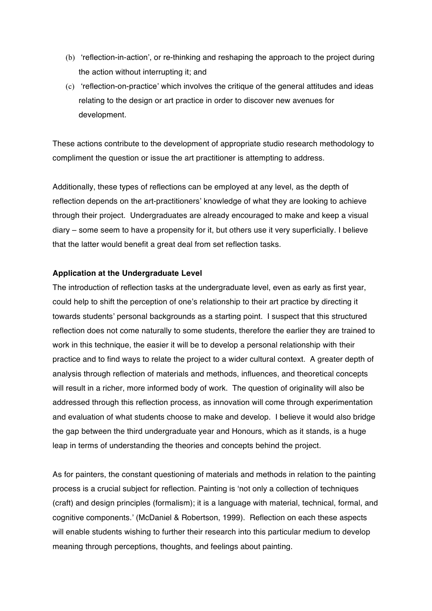- (b) 'reflection-in-action', or re-thinking and reshaping the approach to the project during the action without interrupting it; and
- (c) 'reflection-on-practice' which involves the critique of the general attitudes and ideas relating to the design or art practice in order to discover new avenues for development.

These actions contribute to the development of appropriate studio research methodology to compliment the question or issue the art practitioner is attempting to address.

Additionally, these types of reflections can be employed at any level, as the depth of reflection depends on the art-practitioners' knowledge of what they are looking to achieve through their project. Undergraduates are already encouraged to make and keep a visual diary – some seem to have a propensity for it, but others use it very superficially. I believe that the latter would benefit a great deal from set reflection tasks.

## **Application at the Undergraduate Level**

The introduction of reflection tasks at the undergraduate level, even as early as first year, could help to shift the perception of one's relationship to their art practice by directing it towards students' personal backgrounds as a starting point. I suspect that this structured reflection does not come naturally to some students, therefore the earlier they are trained to work in this technique, the easier it will be to develop a personal relationship with their practice and to find ways to relate the project to a wider cultural context. A greater depth of analysis through reflection of materials and methods, influences, and theoretical concepts will result in a richer, more informed body of work. The question of originality will also be addressed through this reflection process, as innovation will come through experimentation and evaluation of what students choose to make and develop. I believe it would also bridge the gap between the third undergraduate year and Honours, which as it stands, is a huge leap in terms of understanding the theories and concepts behind the project.

As for painters, the constant questioning of materials and methods in relation to the painting process is a crucial subject for reflection. Painting is 'not only a collection of techniques (craft) and design principles (formalism); it is a language with material, technical, formal, and cognitive components.' (McDaniel & Robertson, 1999). Reflection on each these aspects will enable students wishing to further their research into this particular medium to develop meaning through perceptions, thoughts, and feelings about painting.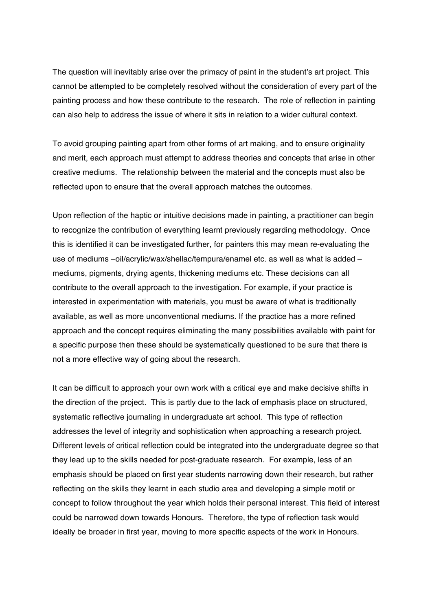The question will inevitably arise over the primacy of paint in the student's art project. This cannot be attempted to be completely resolved without the consideration of every part of the painting process and how these contribute to the research. The role of reflection in painting can also help to address the issue of where it sits in relation to a wider cultural context.

To avoid grouping painting apart from other forms of art making, and to ensure originality and merit, each approach must attempt to address theories and concepts that arise in other creative mediums. The relationship between the material and the concepts must also be reflected upon to ensure that the overall approach matches the outcomes.

Upon reflection of the haptic or intuitive decisions made in painting, a practitioner can begin to recognize the contribution of everything learnt previously regarding methodology. Once this is identified it can be investigated further, for painters this may mean re-evaluating the use of mediums –oil/acrylic/wax/shellac/tempura/enamel etc. as well as what is added – mediums, pigments, drying agents, thickening mediums etc. These decisions can all contribute to the overall approach to the investigation. For example, if your practice is interested in experimentation with materials, you must be aware of what is traditionally available, as well as more unconventional mediums. If the practice has a more refined approach and the concept requires eliminating the many possibilities available with paint for a specific purpose then these should be systematically questioned to be sure that there is not a more effective way of going about the research.

It can be difficult to approach your own work with a critical eye and make decisive shifts in the direction of the project. This is partly due to the lack of emphasis place on structured, systematic reflective journaling in undergraduate art school. This type of reflection addresses the level of integrity and sophistication when approaching a research project. Different levels of critical reflection could be integrated into the undergraduate degree so that they lead up to the skills needed for post-graduate research. For example, less of an emphasis should be placed on first year students narrowing down their research, but rather reflecting on the skills they learnt in each studio area and developing a simple motif or concept to follow throughout the year which holds their personal interest. This field of interest could be narrowed down towards Honours. Therefore, the type of reflection task would ideally be broader in first year, moving to more specific aspects of the work in Honours.